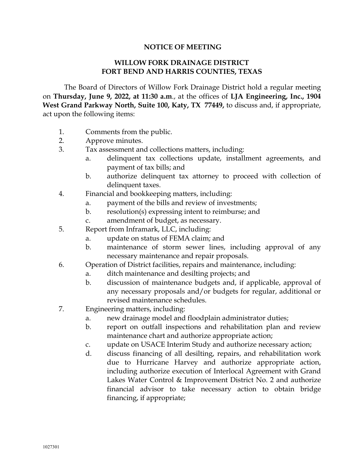## **NOTICE OF MEETING**

## **WILLOW FORK DRAINAGE DISTRICT FORT BEND AND HARRIS COUNTIES, TEXAS**

The Board of Directors of Willow Fork Drainage District hold a regular meeting on **Thursday, June 9, 2022, at 11:30 a.m**., at the offices of **LJA Engineering, Inc., 1904 West Grand Parkway North, Suite 100, Katy, TX 77449,** to discuss and, if appropriate, act upon the following items:

- 1. Comments from the public.
- 2. Approve minutes.
- 3. Tax assessment and collections matters, including:
	- a. delinquent tax collections update, installment agreements, and payment of tax bills; and
	- b. authorize delinquent tax attorney to proceed with collection of delinquent taxes.
- 4. Financial and bookkeeping matters, including:
	- a. payment of the bills and review of investments;
	- b. resolution(s) expressing intent to reimburse; and
	- c. amendment of budget, as necessary.
- 5. Report from Inframark, LLC, including:
	- a. update on status of FEMA claim; and
	- b. maintenance of storm sewer lines, including approval of any necessary maintenance and repair proposals.
- 6. Operation of District facilities, repairs and maintenance, including:
	- a. ditch maintenance and desilting projects; and
	- b. discussion of maintenance budgets and, if applicable, approval of any necessary proposals and/or budgets for regular, additional or revised maintenance schedules.
- 7. Engineering matters, including:
	- a. new drainage model and floodplain administrator duties;
	- b. report on outfall inspections and rehabilitation plan and review maintenance chart and authorize appropriate action;
	- c. update on USACE Interim Study and authorize necessary action;
	- d. discuss financing of all desilting, repairs, and rehabilitation work due to Hurricane Harvey and authorize appropriate action, including authorize execution of Interlocal Agreement with Grand Lakes Water Control & Improvement District No. 2 and authorize financial advisor to take necessary action to obtain bridge financing, if appropriate;